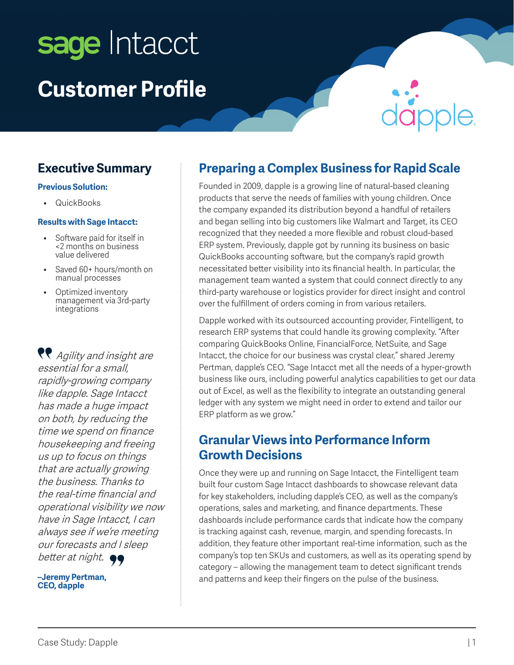# sage Intacct **Customer Profile**

## **Executive Summary**

#### **Previous Solution:**

• QuickBooks

#### **Results with Sage Intacct:**

- Software paid for itself in <2 months on business value delivered
- Saved 60+ hours/month on manual processes
- Optimized inventory management via 3rd-party integrations

**R** Agility and insight are essential for a small, rapidly-growing company like dapple. Sage Intacct has made a huge impact on both, by reducing the time we spend on finance housekeeping and freeing us up to focus on things that are actually growing the business. Thanks to the real-time financial and operational visibility we now have in Sage Intacct, I can always see if we're meeting our forecasts and I sleep better at night.  $\bullet\bullet$ 

**–Jeremy Pertman, CEO, dapple**

#### **Preparing a Complex Business for Rapid Scale**

Founded in 2009, dapple is a growing line of natural-based cleaning products that serve the needs of families with young children. Once the company expanded its distribution beyond a handful of retailers and began selling into big customers like Walmart and Target, its CEO recognized that they needed a more flexible and robust cloud-based ERP system. Previously, dapple got by running its business on basic QuickBooks accounting software, but the company's rapid growth necessitated better visibility into its financial health. In particular, the management team wanted a system that could connect directly to any third-party warehouse or logistics provider for direct insight and control over the fulfillment of orders coming in from various retailers.

Dapple worked with its outsourced accounting provider, Fintelligent, to research ERP systems that could handle its growing complexity. "After comparing QuickBooks Online, FinancialForce, NetSuite, and Sage Intacct, the choice for our business was crystal clear," shared Jeremy Pertman, dapple's CEO. "Sage Intacct met all the needs of a hyper-growth business like ours, including powerful analytics capabilities to get our data out of Excel, as well as the flexibility to integrate an outstanding general ledger with any system we might need in order to extend and tailor our ERP platform as we grow."

#### **Granular Views into Performance Inform Growth Decisions**

Once they were up and running on Sage Intacct, the Fintelligent team built four custom Sage Intacct dashboards to showcase relevant data for key stakeholders, including dapple's CEO, as well as the company's operations, sales and marketing, and finance departments. These dashboards include performance cards that indicate how the company is tracking against cash, revenue, margin, and spending forecasts. In addition, they feature other important real-time information, such as the company's top ten SKUs and customers, as well as its operating spend by category – allowing the management team to detect significant trends and patterns and keep their fingers on the pulse of the business.